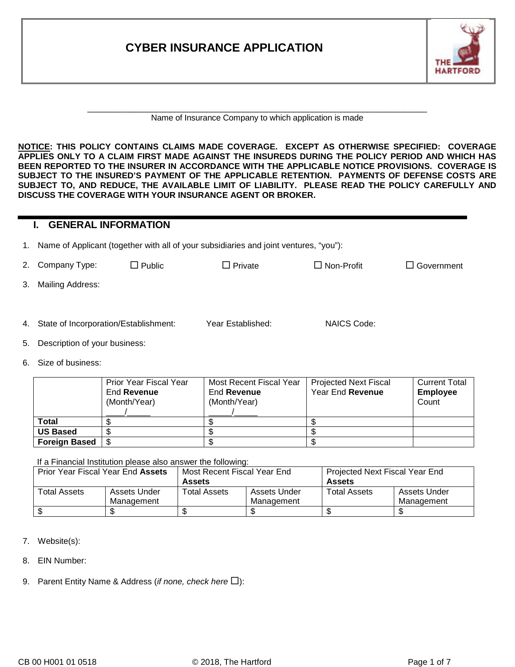| <b>CYBER INSURANCE APPLICATION</b> | <b>HARTFORD</b> |
|------------------------------------|-----------------|
|                                    |                 |

#### Name of Insurance Company to which application is made

**NOTICE: THIS POLICY CONTAINS CLAIMS MADE COVERAGE. EXCEPT AS OTHERWISE SPECIFIED: COVERAGE APPLIES ONLY TO A CLAIM FIRST MADE AGAINST THE INSUREDS DURING THE POLICY PERIOD AND WHICH HAS BEEN REPORTED TO THE INSURER IN ACCORDANCE WITH THE APPLICABLE NOTICE PROVISIONS. COVERAGE IS SUBJECT TO THE INSURED'S PAYMENT OF THE APPLICABLE RETENTION. PAYMENTS OF DEFENSE COSTS ARE SUBJECT TO, AND REDUCE, THE AVAILABLE LIMIT OF LIABILITY. PLEASE READ THE POLICY CAREFULLY AND DISCUSS THE COVERAGE WITH YOUR INSURANCE AGENT OR BROKER.**

#### **I. GENERAL INFORMATION**

1. Name of Applicant (together with all of your subsidiaries and joint ventures, "you"):

| 2. Company Type:                         | $\Box$ Public | $\Box$ Private    | $\Box$ Non-Profit | $\Box$ Government |
|------------------------------------------|---------------|-------------------|-------------------|-------------------|
| 3. Mailing Address:                      |               |                   |                   |                   |
|                                          |               |                   |                   |                   |
| 4. State of Incorporation/Establishment: |               | Year Established: | NAICS Code:       |                   |
|                                          |               |                   |                   |                   |

- 5. Description of your business:
- 6. Size of business:

|                      | <b>Prior Year Fiscal Year</b><br>End Revenue<br>(Month/Year) | Most Recent Fiscal Year<br>End Revenue<br>(Month/Year) | <b>Projected Next Fiscal</b><br>Year End Revenue | <b>Current Total</b><br><b>Employee</b><br>Count |
|----------------------|--------------------------------------------------------------|--------------------------------------------------------|--------------------------------------------------|--------------------------------------------------|
| <b>Total</b>         |                                                              |                                                        |                                                  |                                                  |
| <b>US Based</b>      |                                                              |                                                        |                                                  |                                                  |
| <b>Foreign Based</b> |                                                              |                                                        |                                                  |                                                  |

If a Financial Institution please also answer the following:

| Prior Year Fiscal Year End Assets |              | Most Recent Fiscal Year End  |            | Projected Next Fiscal Year End |              |  |
|-----------------------------------|--------------|------------------------------|------------|--------------------------------|--------------|--|
|                                   |              | <b>Assets</b>                |            | Assets                         |              |  |
| Total Assets                      | Assets Under | Assets Under<br>Total Assets |            | <b>Total Assets</b>            | Assets Under |  |
| Management                        |              |                              | Management |                                | Management   |  |
|                                   |              |                              |            |                                |              |  |

- 7. Website(s):
- 8. EIN Number:
- 9. Parent Entity Name & Address (*if none, check here*  $\square$ ):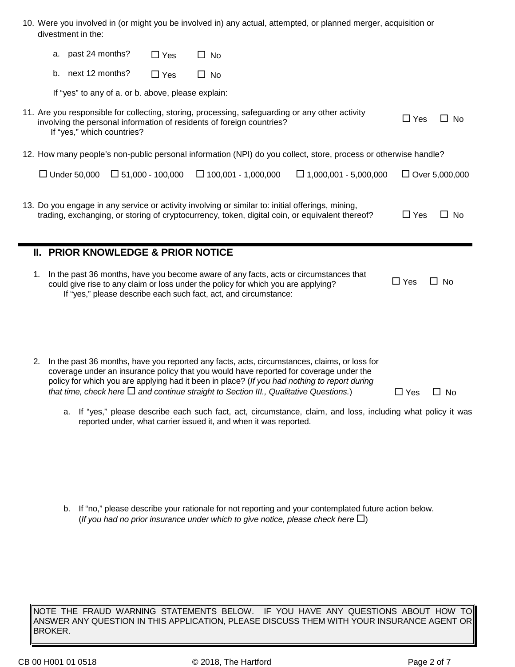| 10. Were you involved in (or might you be involved in) any actual, attempted, or planned merger, acquisition or |
|-----------------------------------------------------------------------------------------------------------------|
| divestment in the:                                                                                              |

|    | a. past 24 months?                                 | $\Box$ Yes              | No                                                                                                                                                                                                                                                                                                                                                                                    |                                                                                                                 |            |                       |
|----|----------------------------------------------------|-------------------------|---------------------------------------------------------------------------------------------------------------------------------------------------------------------------------------------------------------------------------------------------------------------------------------------------------------------------------------------------------------------------------------|-----------------------------------------------------------------------------------------------------------------|------------|-----------------------|
|    | b. next 12 months?                                 | $\Box$ Yes              | $\Box$ No                                                                                                                                                                                                                                                                                                                                                                             |                                                                                                                 |            |                       |
|    | If "yes" to any of a. or b. above, please explain: |                         |                                                                                                                                                                                                                                                                                                                                                                                       |                                                                                                                 |            |                       |
|    | If "yes," which countries?                         |                         | 11. Are you responsible for collecting, storing, processing, safeguarding or any other activity<br>involving the personal information of residents of foreign countries?                                                                                                                                                                                                              |                                                                                                                 | $\Box$ Yes | $\Box$ No             |
|    |                                                    |                         |                                                                                                                                                                                                                                                                                                                                                                                       | 12. How many people's non-public personal information (NPI) do you collect, store, process or otherwise handle? |            |                       |
|    | $\Box$ Under 50,000                                | $\Box$ 51,000 - 100,000 | $\Box$ 100,001 - 1,000,000                                                                                                                                                                                                                                                                                                                                                            | $\Box$ 1,000,001 - 5,000,000                                                                                    |            | $\Box$ Over 5,000,000 |
|    |                                                    |                         | 13. Do you engage in any service or activity involving or similar to: initial offerings, mining,<br>trading, exchanging, or storing of cryptocurrency, token, digital coin, or equivalent thereof?                                                                                                                                                                                    |                                                                                                                 | $\Box$ Yes | $\Box$ No             |
|    | II. PRIOR KNOWLEDGE & PRIOR NOTICE                 |                         |                                                                                                                                                                                                                                                                                                                                                                                       |                                                                                                                 |            |                       |
| 1. |                                                    |                         | In the past 36 months, have you become aware of any facts, acts or circumstances that<br>could give rise to any claim or loss under the policy for which you are applying?<br>If "yes," please describe each such fact, act, and circumstance:                                                                                                                                        |                                                                                                                 | $\Box$ Yes | $\Box$ No             |
|    |                                                    |                         |                                                                                                                                                                                                                                                                                                                                                                                       |                                                                                                                 |            |                       |
| 2. |                                                    |                         | In the past 36 months, have you reported any facts, acts, circumstances, claims, or loss for<br>coverage under an insurance policy that you would have reported for coverage under the<br>policy for which you are applying had it been in place? (If you had nothing to report during<br>that time, check here $\Box$ and continue straight to Section III., Qualitative Questions.) |                                                                                                                 | $\Box$ Yes | $\Box$ No             |

a. If "yes," please describe each such fact, act, circumstance, claim, and loss, including what policy it was reported under, what carrier issued it, and when it was reported.

b. If "no," please describe your rationale for not reporting and your contemplated future action below. (*If you had no prior insurance under which to give notice, please check here*  $\Box$ )

NOTE THE FRAUD WARNING STATEMENTS BELOW. IF YOU HAVE ANY QUESTIONS ABOUT HOW TO ANSWER ANY QUESTION IN THIS APPLICATION, PLEASE DISCUSS THEM WITH YOUR INSURANCE AGENT OR $\vert$ BROKER.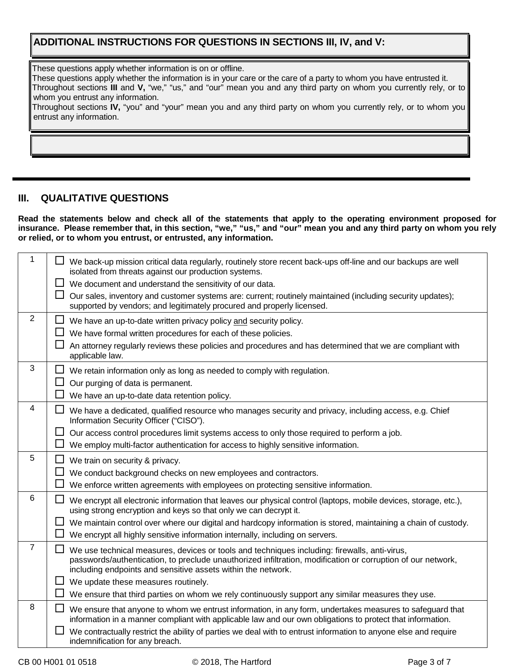## **ADDITIONAL INSTRUCTIONS FOR QUESTIONS IN SECTIONS III, IV, and V:**

These questions apply whether information is on or offline.

These questions apply whether the information is in your care or the care of a party to whom you have entrusted it.

Throughout sections **III** and **V,** "we," "us," and "our" mean you and any third party on whom you currently rely, or to whom you entrust any information.

Throughout sections **IV,** "you" and "your" mean you and any third party on whom you currently rely, or to whom you entrust any information.

### **III. QUALITATIVE QUESTIONS**

**Read the statements below and check all of the statements that apply to the operating environment proposed for insurance. Please remember that, in this section, "we," "us," and "our" mean you and any third party on whom you rely or relied, or to whom you entrust, or entrusted, any information.**

| $\mathbf{1}$   | We back-up mission critical data regularly, routinely store recent back-ups off-line and our backups are well<br>isolated from threats against our production systems.                                                                                                           |
|----------------|----------------------------------------------------------------------------------------------------------------------------------------------------------------------------------------------------------------------------------------------------------------------------------|
|                | We document and understand the sensitivity of our data.<br>ப                                                                                                                                                                                                                     |
|                | ப<br>Our sales, inventory and customer systems are: current; routinely maintained (including security updates);<br>supported by vendors; and legitimately procured and properly licensed.                                                                                        |
| $\overline{2}$ | ப<br>We have an up-to-date written privacy policy and security policy.                                                                                                                                                                                                           |
|                | We have formal written procedures for each of these policies.                                                                                                                                                                                                                    |
|                | ⊔<br>An attorney regularly reviews these policies and procedures and has determined that we are compliant with<br>applicable law.                                                                                                                                                |
| 3              | We retain information only as long as needed to comply with regulation.<br>ப                                                                                                                                                                                                     |
|                | $\Box$<br>Our purging of data is permanent.                                                                                                                                                                                                                                      |
|                | We have an up-to-date data retention policy.                                                                                                                                                                                                                                     |
| 4              | We have a dedicated, qualified resource who manages security and privacy, including access, e.g. Chief<br>Information Security Officer ("CISO").                                                                                                                                 |
|                | ப<br>Our access control procedures limit systems access to only those required to perform a job.                                                                                                                                                                                 |
|                | We employ multi-factor authentication for access to highly sensitive information.                                                                                                                                                                                                |
| 5              | ப<br>We train on security & privacy.                                                                                                                                                                                                                                             |
|                | ப<br>We conduct background checks on new employees and contractors.                                                                                                                                                                                                              |
|                | We enforce written agreements with employees on protecting sensitive information.                                                                                                                                                                                                |
| 6              | We encrypt all electronic information that leaves our physical control (laptops, mobile devices, storage, etc.),<br>using strong encryption and keys so that only we can decrypt it.                                                                                             |
|                | $\Box$<br>We maintain control over where our digital and hardcopy information is stored, maintaining a chain of custody.                                                                                                                                                         |
|                | We encrypt all highly sensitive information internally, including on servers.                                                                                                                                                                                                    |
| $\overline{7}$ | ⊔<br>We use technical measures, devices or tools and techniques including: firewalls, anti-virus,<br>passwords/authentication, to preclude unauthorized infiltration, modification or corruption of our network,<br>including endpoints and sensitive assets within the network. |
|                | We update these measures routinely.<br>ப                                                                                                                                                                                                                                         |
|                | We ensure that third parties on whom we rely continuously support any similar measures they use.                                                                                                                                                                                 |
| 8              | We ensure that anyone to whom we entrust information, in any form, undertakes measures to safeguard that<br>information in a manner compliant with applicable law and our own obligations to protect that information.                                                           |
|                | We contractually restrict the ability of parties we deal with to entrust information to anyone else and require<br>indemnification for any breach.                                                                                                                               |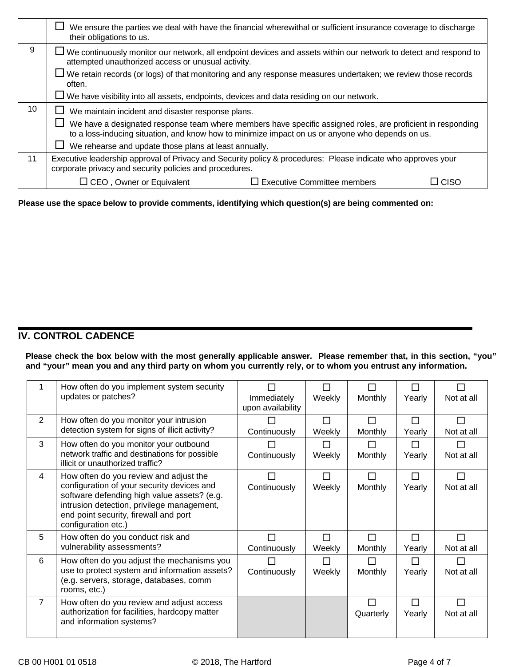|    | We ensure the parties we deal with have the financial wherewithal or sufficient insurance coverage to discharge<br>their obligations to us.                                                                     |  |  |  |  |  |
|----|-----------------------------------------------------------------------------------------------------------------------------------------------------------------------------------------------------------------|--|--|--|--|--|
| 9  | $\Box$ We continuously monitor our network, all endpoint devices and assets within our network to detect and respond to<br>attempted unauthorized access or unusual activity.                                   |  |  |  |  |  |
|    | $\Box$ We retain records (or logs) of that monitoring and any response measures undertaken; we review those records<br>often.                                                                                   |  |  |  |  |  |
|    | $\Box$ We have visibility into all assets, endpoints, devices and data residing on our network.                                                                                                                 |  |  |  |  |  |
| 10 | We maintain incident and disaster response plans.                                                                                                                                                               |  |  |  |  |  |
|    | We have a designated response team where members have specific assigned roles, are proficient in responding<br>to a loss-inducing situation, and know how to minimize impact on us or anyone who depends on us. |  |  |  |  |  |
|    | We rehearse and update those plans at least annually.                                                                                                                                                           |  |  |  |  |  |
| 11 | Executive leadership approval of Privacy and Security policy & procedures: Please indicate who approves your<br>corporate privacy and security policies and procedures.                                         |  |  |  |  |  |
|    | $\Box$ CEO, Owner or Equivalent<br>$\Box$ Executive Committee members<br>CISO                                                                                                                                   |  |  |  |  |  |

**Please use the space below to provide comments, identifying which question(s) are being commented on:**

# **IV. CONTROL CADENCE**

**Please check the box below with the most generally applicable answer. Please remember that, in this section, "you" and "your" mean you and any third party on whom you currently rely, or to whom you entrust any information.**

|                | How often do you implement system security<br>updates or patches?                                                                                                                                                                                 | Immediately<br>upon availability | $\Box$<br>Weekly | ΙI<br>Monthly  | П<br>Yearly      | $\overline{\phantom{a}}$<br>Not at all |
|----------------|---------------------------------------------------------------------------------------------------------------------------------------------------------------------------------------------------------------------------------------------------|----------------------------------|------------------|----------------|------------------|----------------------------------------|
| 2              | How often do you monitor your intrusion<br>detection system for signs of illicit activity?                                                                                                                                                        | Continuously                     | П<br>Weekly      | П<br>Monthly   | $\Box$<br>Yearly | П<br>Not at all                        |
| 3              | How often do you monitor your outbound<br>network traffic and destinations for possible<br>illicit or unauthorized traffic?                                                                                                                       | Continuously                     | П<br>Weekly      | П<br>Monthly   | П<br>Yearly      | П<br>Not at all                        |
| $\overline{4}$ | How often do you review and adjust the<br>configuration of your security devices and<br>software defending high value assets? (e.g.<br>intrusion detection, privilege management,<br>end point security, firewall and port<br>configuration etc.) | Continuously                     | П<br>Weekly      | П<br>Monthly   | □<br>Yearly      | П<br>Not at all                        |
| 5              | How often do you conduct risk and<br>vulnerability assessments?                                                                                                                                                                                   | Continuously                     | П<br>Weekly      | П<br>Monthly   | $\Box$<br>Yearly | П<br>Not at all                        |
| 6              | How often do you adjust the mechanisms you<br>use to protect system and information assets?<br>(e.g. servers, storage, databases, comm<br>rooms, etc.)                                                                                            | Continuously                     | П<br>Weekly      | П<br>Monthly   | П<br>Yearly      | П<br>Not at all                        |
| $\overline{7}$ | How often do you review and adjust access<br>authorization for facilities, hardcopy matter<br>and information systems?                                                                                                                            |                                  |                  | П<br>Quarterly | П<br>Yearly      | П<br>Not at all                        |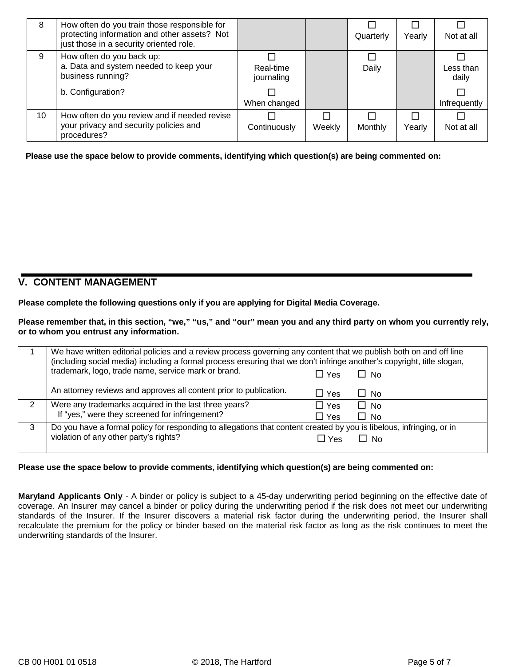| 8  | How often do you train those responsible for<br>protecting information and other assets? Not<br>just those in a security oriented role. |                         |        | Quarterly | Yearly | Not at all         |
|----|-----------------------------------------------------------------------------------------------------------------------------------------|-------------------------|--------|-----------|--------|--------------------|
| 9  | How often do you back up:<br>a. Data and system needed to keep your<br>business running?                                                | Real-time<br>journaling |        | Daily     |        | Less than<br>daily |
|    | b. Configuration?                                                                                                                       | When changed            |        |           |        | Infrequently       |
| 10 | How often do you review and if needed revise<br>your privacy and security policies and<br>procedures?                                   | Continuously            | Weekly | Monthly   | Yearly | Not at all         |

**Please use the space below to provide comments, identifying which question(s) are being commented on:**

#### **V. CONTENT MANAGEMENT**

**Please complete the following questions only if you are applying for Digital Media Coverage.**

**Please remember that, in this section, "we," "us," and "our" mean you and any third party on whom you currently rely, or to whom you entrust any information.**

|   | We have written editorial policies and a review process governing any content that we publish both on and off line<br>(including social media) including a formal process ensuring that we don't infringe another's copyright, title slogan, |            |             |  |  |
|---|----------------------------------------------------------------------------------------------------------------------------------------------------------------------------------------------------------------------------------------------|------------|-------------|--|--|
|   | trademark, logo, trade name, service mark or brand.                                                                                                                                                                                          | □ Yes      | $\Box$ No   |  |  |
|   | An attorney reviews and approves all content prior to publication.                                                                                                                                                                           | $\Box$ Yes | $\sqcup$ No |  |  |
|   | Were any trademarks acquired in the last three years?                                                                                                                                                                                        | $\Box$ Yes | $\Box$ No   |  |  |
|   | If "yes," were they screened for infringement?                                                                                                                                                                                               | □ Yes      | □ No        |  |  |
| 3 | Do you have a formal policy for responding to allegations that content created by you is libelous, infringing, or in                                                                                                                         |            |             |  |  |
|   | violation of any other party's rights?                                                                                                                                                                                                       | $\Box$ Yes | $\Box$ No   |  |  |
|   |                                                                                                                                                                                                                                              |            |             |  |  |

**Please use the space below to provide comments, identifying which question(s) are being commented on:**

**Maryland Applicants Only** - A binder or policy is subject to a 45-day underwriting period beginning on the effective date of coverage. An Insurer may cancel a binder or policy during the underwriting period if the risk does not meet our underwriting standards of the Insurer. If the Insurer discovers a material risk factor during the underwriting period, the Insurer shall recalculate the premium for the policy or binder based on the material risk factor as long as the risk continues to meet the underwriting standards of the Insurer.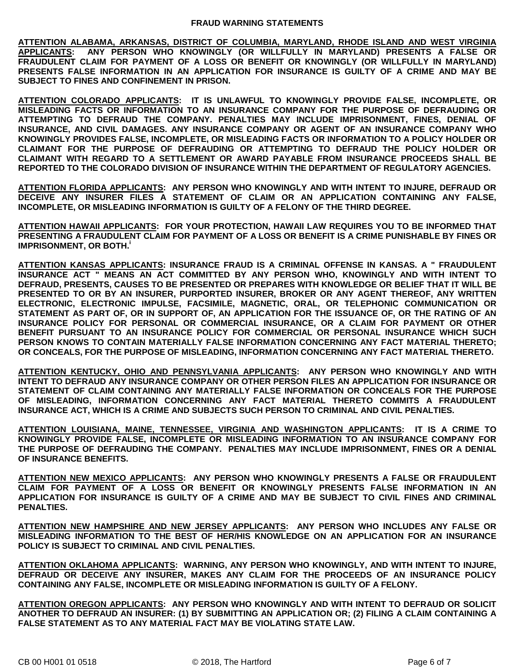**ATTENTION ALABAMA, ARKANSAS, DISTRICT OF COLUMBIA, MARYLAND, RHODE ISLAND AND WEST VIRGINIA APPLICANTS: ANY PERSON WHO KNOWINGLY (OR WILLFULLY IN MARYLAND) PRESENTS A FALSE OR FRAUDULENT CLAIM FOR PAYMENT OF A LOSS OR BENEFIT OR KNOWINGLY (OR WILLFULLY IN MARYLAND) PRESENTS FALSE INFORMATION IN AN APPLICATION FOR INSURANCE IS GUILTY OF A CRIME AND MAY BE SUBJECT TO FINES AND CONFINEMENT IN PRISON.**

**ATTENTION COLORADO APPLICANTS: IT IS UNLAWFUL TO KNOWINGLY PROVIDE FALSE, INCOMPLETE, OR MISLEADING FACTS OR INFORMATION TO AN INSURANCE COMPANY FOR THE PURPOSE OF DEFRAUDING OR ATTEMPTING TO DEFRAUD THE COMPANY. PENALTIES MAY INCLUDE IMPRISONMENT, FINES, DENIAL OF INSURANCE, AND CIVIL DAMAGES. ANY INSURANCE COMPANY OR AGENT OF AN INSURANCE COMPANY WHO KNOWINGLY PROVIDES FALSE, INCOMPLETE, OR MISLEADING FACTS OR INFORMATION TO A POLICY HOLDER OR CLAIMANT FOR THE PURPOSE OF DEFRAUDING OR ATTEMPTING TO DEFRAUD THE POLICY HOLDER OR CLAIMANT WITH REGARD TO A SETTLEMENT OR AWARD PAYABLE FROM INSURANCE PROCEEDS SHALL BE REPORTED TO THE COLORADO DIVISION OF INSURANCE WITHIN THE DEPARTMENT OF REGULATORY AGENCIES.**

**ATTENTION FLORIDA APPLICANTS: ANY PERSON WHO KNOWINGLY AND WITH INTENT TO INJURE, DEFRAUD OR DECEIVE ANY INSURER FILES A STATEMENT OF CLAIM OR AN APPLICATION CONTAINING ANY FALSE, INCOMPLETE, OR MISLEADING INFORMATION IS GUILTY OF A FELONY OF THE THIRD DEGREE.**

**ATTENTION HAWAII APPLICANTS: FOR YOUR PROTECTION, HAWAII LAW REQUIRES YOU TO BE INFORMED THAT PRESENTING A FRAUDULENT CLAIM FOR PAYMENT OF A LOSS OR BENEFIT IS A CRIME PUNISHABLE BY FINES OR IMPRISONMENT, OR BOTH.<sup>i</sup>**

**ATTENTION KANSAS APPLICANTS: INSURANCE FRAUD IS A CRIMINAL OFFENSE IN KANSAS. A " FRAUDULENT INSURANCE ACT " MEANS AN ACT COMMITTED BY ANY PERSON WHO, KNOWINGLY AND WITH INTENT TO DEFRAUD, PRESENTS, CAUSES TO BE PRESENTED OR PREPARES WITH KNOWLEDGE OR BELIEF THAT IT WILL BE PRESENTED TO OR BY AN INSURER, PURPORTED INSURER, BROKER OR ANY AGENT THEREOF, ANY WRITTEN ELECTRONIC, ELECTRONIC IMPULSE, FACSIMILE, MAGNETIC, ORAL, OR TELEPHONIC COMMUNICATION OR STATEMENT AS PART OF, OR IN SUPPORT OF, AN APPLICATION FOR THE ISSUANCE OF, OR THE RATING OF AN INSURANCE POLICY FOR PERSONAL OR COMMERCIAL INSURANCE, OR A CLAIM FOR PAYMENT OR OTHER BENEFIT PURSUANT TO AN INSURANCE POLICY FOR COMMERCIAL OR PERSONAL INSURANCE WHICH SUCH PERSON KNOWS TO CONTAIN MATERIALLY FALSE INFORMATION CONCERNING ANY FACT MATERIAL THERETO; OR CONCEALS, FOR THE PURPOSE OF MISLEADING, INFORMATION CONCERNING ANY FACT MATERIAL THERETO.**

**ATTENTION KENTUCKY, OHIO AND PENNSYLVANIA APPLICANTS: ANY PERSON WHO KNOWINGLY AND WITH INTENT TO DEFRAUD ANY INSURANCE COMPANY OR OTHER PERSON FILES AN APPLICATION FOR INSURANCE OR STATEMENT OF CLAIM CONTAINING ANY MATERIALLY FALSE INFORMATION OR CONCEALS FOR THE PURPOSE OF MISLEADING, INFORMATION CONCERNING ANY FACT MATERIAL THERETO COMMITS A FRAUDULENT INSURANCE ACT, WHICH IS A CRIME AND SUBJECTS SUCH PERSON TO CRIMINAL AND CIVIL PENALTIES.**

**ATTENTION LOUISIANA, MAINE, TENNESSEE, VIRGINIA AND WASHINGTON APPLICANTS: IT IS A CRIME TO KNOWINGLY PROVIDE FALSE, INCOMPLETE OR MISLEADING INFORMATION TO AN INSURANCE COMPANY FOR THE PURPOSE OF DEFRAUDING THE COMPANY. PENALTIES MAY INCLUDE IMPRISONMENT, FINES OR A DENIAL OF INSURANCE BENEFITS.**

**ATTENTION NEW MEXICO APPLICANTS: ANY PERSON WHO KNOWINGLY PRESENTS A FALSE OR FRAUDULENT CLAIM FOR PAYMENT OF A LOSS OR BENEFIT OR KNOWINGLY PRESENTS FALSE INFORMATION IN AN APPLICATION FOR INSURANCE IS GUILTY OF A CRIME AND MAY BE SUBJECT TO CIVIL FINES AND CRIMINAL PENALTIES.**

**ATTENTION NEW HAMPSHIRE AND NEW JERSEY APPLICANTS: ANY PERSON WHO INCLUDES ANY FALSE OR MISLEADING INFORMATION TO THE BEST OF HER/HIS KNOWLEDGE ON AN APPLICATION FOR AN INSURANCE POLICY IS SUBJECT TO CRIMINAL AND CIVIL PENALTIES.**

**ATTENTION OKLAHOMA APPLICANTS: WARNING, ANY PERSON WHO KNOWINGLY, AND WITH INTENT TO INJURE, DEFRAUD OR DECEIVE ANY INSURER, MAKES ANY CLAIM FOR THE PROCEEDS OF AN INSURANCE POLICY CONTAINING ANY FALSE, INCOMPLETE OR MISLEADING INFORMATION IS GUILTY OF A FELONY.**

**ATTENTION OREGON APPLICANTS: ANY PERSON WHO KNOWINGLY AND WITH INTENT TO DEFRAUD OR SOLICIT ANOTHER TO DEFRAUD AN INSURER: (1) BY SUBMITTING AN APPLICATION OR; (2) FILING A CLAIM CONTAINING A FALSE STATEMENT AS TO ANY MATERIAL FACT MAY BE VIOLATING STATE LAW.**